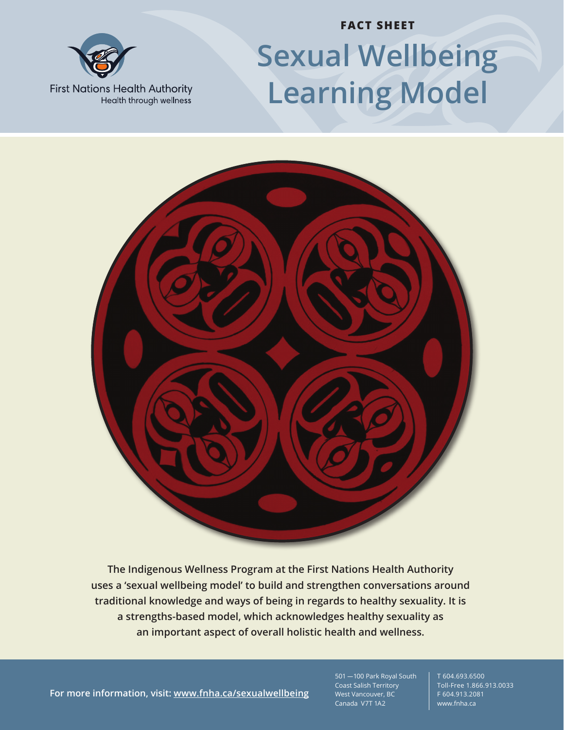

# **FACT SHEET Sexual Wellbeing Learning Model**

**First Nations Health Authority** Health through wellness



**The Indigenous Wellness Program at the First Nations Health Authority uses a 'sexual wellbeing model' to build and strengthen conversations around traditional knowledge and ways of being in regards to healthy sexuality. It is a strengths-based model, which acknowledges healthy sexuality as an important aspect of overall holistic health and wellness.**

**For more information, visit: www.fnha.ca/sexualwellbeing**

501 — 100 Park Royal South Coast Salish Territory West Vancouver, BC Canada V7T 1A2

T 604.693.6500 Toll-Free 1.866.913.0033 F 604.913.2081 www.fnha.ca